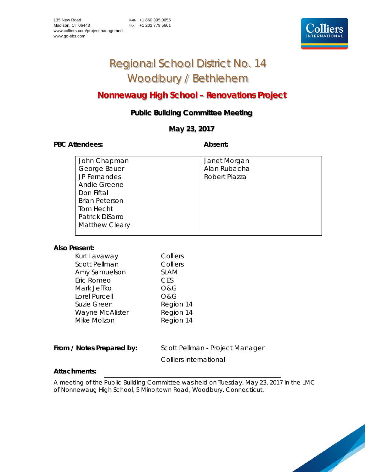# Regional School District No. 14 Woodbury / Bethlehem

# **Nonnewaug High School – Renovations Project**

# **Public Building Committee Meeting**

# **May 23, 2017**

PBC Attendees: **Absent:** 

| John Chapman          | Janet Morgan  |
|-----------------------|---------------|
| George Bauer          | Alan Rubacha  |
| JP Fernandes          | Robert Piazza |
| Andie Greene          |               |
| Don Fiftal            |               |
| <b>Brian Peterson</b> |               |
| Tom Hecht             |               |
| Patrick DiSarro       |               |
| <b>Matthew Cleary</b> |               |
|                       |               |

### **Also Present:**

| Kurt Lavaway         | Colliers       |
|----------------------|----------------|
| <b>Scott Pellman</b> | Colliers       |
| Amy Samuelson        | <b>SLAM</b>    |
| Eric Romeo           | <b>CES</b>     |
| Mark Jeffko          | <b>O&amp;G</b> |
| Lorel Purcell        | O&G            |
| Suzie Green          | Region 14      |
| Wayne McAlister      | Region 14      |
| Mike Molzon          | Region 14      |
|                      |                |

From / Notes Prepared by: Scott Pellman - Project Manager

Colliers International

## **Attachments:**

A meeting of the Public Building Committee was held on Tuesday, May 23, 2017 in the LMC of Nonnewaug High School, 5 Minortown Road, Woodbury, Connecticut.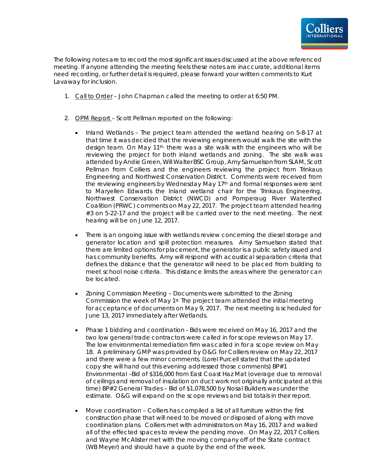

The following notes are to record the most significant issues discussed at the above referenced meeting. If anyone attending the meeting feels these notes are inaccurate, additional items need recording, or further detail is required, please forward your written comments to Kurt Lavaway for inclusion.

- 1. Call to Order John Chapman called the meeting to order at 6:50 PM.
- 2. OPM Report Scott Pellman reported on the following:
	- Inland Wetlands The project team attended the wetland hearing on 5-8-17 at that time it was decided that the reviewing engineers would walk the site with the design team. On May 11th, there was a site walk with the engineers who will be reviewing the project for both inland wetlands and zoning. The site walk was attended by Andie Green, Will Walter BSC Group, Amy Samuelson from SLAM, Scott Pellman from Colliers and the engineers reviewing the project from Trinkaus Engineering and Northwest Conservation District. Comments were received from the reviewing engineers by Wednesday May 17th and formal responses were sent to Maryellen Edwards the Inland wetland chair for the Trinkaus Engineering, Northwest Conservation District (NWCD) and Pomperaug River Watershed Coalition (PRWC) comments on May 22, 2017. The project team attended hearing #3 on 5-22-17 and the project will be carried over to the next meeting. The next hearing will be on June 12, 2017.
	- There is an ongoing issue with wetlands review concerning the diesel storage and generator location and spill protection measures. Amy Samuelson stated that there are limited options for placement, the generator is a public safety issued and has community benefits. Amy will respond with acoustical separation criteria that defines the distance that the generator will need to be placed from building to meet school noise criteria. This distance limits the areas where the generator can be located.
	- Zoning Commission Meeting Documents were submitted to the Zoning Commission the week of May 1st. The project team attended the initial meeting for acceptance of documents on May 9, 2017. The next meeting is scheduled for June 13, 2017 immediately after Wetlands.
	- Phase 1 bidding and coordination Bids were received on May 16, 2017 and the two low general trade contractors were called in for scope reviews on May 17. The low environmental remediation firm was called in for a scope review on May 18. A preliminary GMP was provided by O&G for Colliers review on May 22, 2017 and there were a few minor comments. (Lorel Purcell stated that the updated copy she will hand out this evening addressed those comments) BP#1 Environmental –Bid of \$316,000 from East Coast Haz Mat (overage due to removal of ceilings and removal of insulation on duct work not originally anticipated at this time) BP#2 General Trades – Bid of \$1,078,500 by Nosal Builders was under the estimate. O&G will expand on the scope reviews and bid totals in their report.
	- Move coordination Colliers has compiled a list of all furniture within the first construction phase that will need to be moved or disposed of along with move coordination plans. Colliers met with administrators on May 16, 2017 and walked all of the effected spaces to review the pending move. On May 22, 2017 Colliers and Wayne McAlister met with the moving company off of the State contract (WB Meyer) and should have a quote by the end of the week.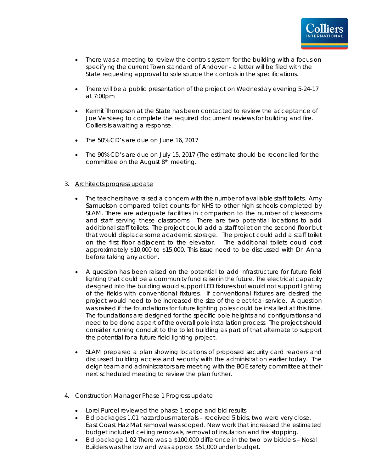

- There was a meeting to review the controls system for the building with a focus on specifying the current Town standard of Andover – a letter will be filed with the State requesting approval to sole source the controls in the specifications.
- There will be a public presentation of the project on Wednesday evening 5-24-17 at 7:00pm
- Kermit Thompson at the State has been contacted to review the acceptance of Joe Versteeg to complete the required document reviews for building and fire. Colliers is awaiting a response.
- The 50% CD's are due on June 16, 2017
- The 90% CD's are due on July 15, 2017 (The estimate should be reconciled for the committee on the August 8th meeting.

### 3. Architects progress update

- The teachers have raised a concern with the number of available staff toilets. Amy Samuelson compared toilet counts for NHS to other high schools completed by SLAM. There are adequate facilities in comparison to the number of classrooms and staff serving these classrooms. There are two potential locations to add additional staff toilets. The project could add a staff toilet on the second floor but that would displace some academic storage. The project could add a staff toilet on the first floor adjacent to the elevator. The additional toilets could cost approximately \$10,000 to \$15,000. This issue need to be discussed with Dr. Anna before taking any action.
- A question has been raised on the potential to add infrastructure for future field lighting that could be a community fund raiser in the future. The electrical capacity designed into the building would support LED fixtures but would not support lighting of the fields with conventional fixtures. If conventional fixtures are desired the project would need to be increased the size of the electrical service. A question was raised if the foundations for future lighting poles could be installed at this time. The foundations are designed for the specific pole heights and configurations and need to be done as part of the overall pole installation process. The project should consider running conduit to the toilet building as part of that alternate to support the potential for a future field lighting project.
- SLAM prepared a plan showing locations of proposed security card readers and discussed building access and security with the administration earlier today. The deign team and administrators are meeting with the BOE safety committee at their next scheduled meeting to review the plan further.
- 4. Construction Manager Phase 1 Progress update
	- Lorel Purcel reviewed the phase 1 scope and bid results.
	- Bid packages 1.01 hazardous materials received 5 bids, two were very close. East Coast Haz Mat removal was scoped. New work that increased the estimated budget included ceiling removals, removal of insulation and fire stopping.
	- Bid package 1.02 There was a \$100,000 difference in the two low bidders Nosal Builders was the low and was approx. \$51,000 under budget.